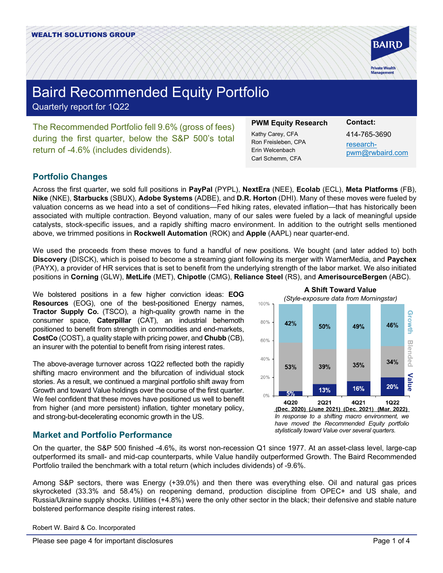

# Baird Recommended Equity Portfolio

Quarterly report for 1Q22

The Recommended Portfolio fell 9.6% (gross of fees) during the first quarter, below the S&P 500's total return of -4.6% (includes dividends).

### **PWM Equity Research**

Kathy Carey, CFA Ron Freisleben, CPA Erin Welcenbach Carl Schemm, CFA

**Contact:** 

414-765-3690 [research](mailto:research-pwm@rwbaird.com)[pwm@rwbaird.com](mailto:research-pwm@rwbaird.com)

# **Portfolio Changes**

Across the first quarter, we sold full positions in **PayPal** (PYPL), **NextEra** (NEE), **Ecolab** (ECL), **Meta Platforms** (FB), **Nike** (NKE), **Starbucks** (SBUX), **Adobe Systems** (ADBE), and **D.R. Horton** (DHI). Many of these moves were fueled by valuation concerns as we head into a set of conditions—Fed hiking rates, elevated inflation—that has historically been associated with multiple contraction. Beyond valuation, many of our sales were fueled by a lack of meaningful upside catalysts, stock-specific issues, and a rapidly shifting macro environment. In addition to the outright sells mentioned above, we trimmed positions in **Rockwell Automation** (ROK) and **Apple** (AAPL) near quarter-end.

We used the proceeds from these moves to fund a handful of new positions. We bought (and later added to) both **Discovery** (DISCK), which is poised to become a streaming giant following its merger with WarnerMedia, and **Paychex** (PAYX), a provider of HR services that is set to benefit from the underlying strength of the labor market. We also initiated positions in **Corning** (GLW), **MetLife** (MET), **Chipotle** (CMG), **Reliance Steel** (RS), and **AmerisourceBergen** (ABC).

We bolstered positions in a few higher conviction ideas: **EOG Resources** (EOG), one of the best-positioned Energy names, **Tractor Supply Co.** (TSCO), a high-quality growth name in the consumer space, **Caterpillar** (CAT), an industrial behemoth positioned to benefit from strength in commodities and end-markets, **CostCo** (COST), a quality staple with pricing power, and **Chubb** (CB), an insurer with the potential to benefit from rising interest rates.

The above-average turnover across 1Q22 reflected both the rapidly shifting macro environment and the bifurcation of individual stock stories. As a result, we continued a marginal portfolio shift away from Growth and toward Value holdings over the course of the first quarter. We feel confident that these moves have positioned us well to benefit from higher (and more persistent) inflation, tighter monetary policy, and strong-but-decelerating economic growth in the US.

#### *(Style-exposure data from Morningstar)* 100% <u> ဂ</u> rowth  $80%$ 42% 46% 50% 49% 60% **Blended** 40% 34% 35% 53% 39% Value  $20%$ 20% 16% 13%  $5%$  $0\%$ 4Q20 **2Q21** 4Q21 **1Q22** (Dec. 2020) (June 2021) (Dec. 2021) (Mar. 2022)

**A Shift Toward Value**

*In response to a shifting macro environment, we have moved the Recommended Equity portfolio stylistically toward Value over several quarters.*

# **Market and Portfolio Performance**

On the quarter, the S&P 500 finished -4.6%, its worst non-recession Q1 since 1977. At an asset-class level, large-cap outperformed its small- and mid-cap counterparts, while Value handily outperformed Growth. The Baird Recommended Portfolio trailed the benchmark with a total return (which includes dividends) of -9.6%.

Among S&P sectors, there was Energy (+39.0%) and then there was everything else. Oil and natural gas prices skyrocketed (33.3% and 58.4%) on reopening demand, production discipline from OPEC+ and US shale, and Russia/Ukraine supply shocks. Utilities (+4.8%) were the only other sector in the black; their defensive and stable nature bolstered performance despite rising interest rates.

Robert W. Baird & Co. Incorporated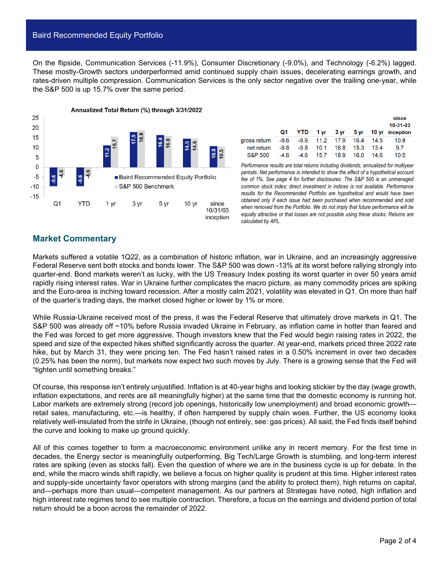## Baird Recommended Equity Portfolio

On the flipside, Communication Services (-11.9%), Consumer Discretionary (-9.0%), and Technology (-6.2%) lagged. These mostly-Growth sectors underperformed amid continued supply chain issues, decelerating earnings growth, and rates-driven multiple compression. Communication Services is the only sector negative over the trailing one-year, while the S&P 500 is up 15.7% over the same period.



|                                              |        |      |      |      |      |           | since<br>$10 - 31 - 03$<br>$Q1$ YTD $1 \vee r$ $3 \vee r$ $5 \vee r$ $10 \vee r$ inception |  |  |
|----------------------------------------------|--------|------|------|------|------|-----------|--------------------------------------------------------------------------------------------|--|--|
| aross return - 9.6 - 9.6 11.2 17.9 16.4 14.5 |        |      |      |      |      |           | 10 B                                                                                       |  |  |
| net return                                   | $-9.8$ | -9.8 | 10.1 | 16.8 |      | 15.3 13.4 | 9.7                                                                                        |  |  |
| S&P 500                                      | $-4.6$ | -4.6 | 15.7 | 18.9 | 16.0 | 14.6      | 10.5                                                                                       |  |  |

*Performance results are total returns including dividends, annualized for multiyear periods. Net performance is intended to show the effect of a hypothetical account fee of 1%. See page 4 for further disclosures. The S&P 500 is an unmanaged common stock index; direct investment in indices is not available. Performance results for the Recommended Portfolio are hypothetical and would have been obtained only if each issue had been purchased when recommended and sold when removed from the Portfolio. We do not imply that future performance will be equally attractive or that losses are not possible using these stocks. Returns are calculated by APL.*

# **Market Commentary**

Markets suffered a volatile 1Q22, as a combination of historic inflation, war in Ukraine, and an increasingly aggressive Federal Reserve sent both stocks and bonds lower. The S&P 500 was down -13% at its worst before rallying strongly into quarter-end. Bond markets weren't as lucky, with the US Treasury Index posting its worst quarter in over 50 years amid rapidly rising interest rates. War in Ukraine further complicates the macro picture, as many commodity prices are spiking and the Euro-area is inching toward recession. After a mostly calm 2021, volatility was elevated in Q1. On more than half of the quarter's trading days, the market closed higher or lower by 1% or more.

While Russia-Ukraine received most of the press, it was the Federal Reserve that ultimately drove markets in Q1. The S&P 500 was already off ~10% before Russia invaded Ukraine in February, as inflation came in hotter than feared and the Fed was forced to get more aggressive. Though investors knew that the Fed would begin raising rates in 2022, the speed and size of the expected hikes shifted significantly across the quarter. At year-end, markets priced three 2022 rate hike, but by March 31, they were pricing ten. The Fed hasn't raised rates in a 0.50% increment in over two decades (0.25% has been the norm), but markets now expect two such moves by July. There is a growing sense that the Fed will "tighten until something breaks."

Of course, this response isn't entirely unjustified. Inflation is at 40-year highs and looking stickier by the day (wage growth, inflation expectations, and rents are all meaningfully higher) at the same time that the domestic economy is running hot. Labor markets are extremely strong (record job openings, historically low unemployment) and broad economic growth retail sales, manufacturing, etc.—is healthy, if often hampered by supply chain woes. Further, the US economy looks relatively well-insulated from the strife in Ukraine, (though not entirely, see: gas prices). All said, the Fed finds itself behind the curve and looking to make up ground quickly.

All of this comes together to form a macroeconomic environment unlike any in recent memory. For the first time in decades, the Energy sector is meaningfully outperforming, Big Tech/Large Growth is stumbling, and long-term interest rates are spiking (even as stocks fall). Even the question of where we are in the business cycle is up for debate. In the end, while the macro winds shift rapidly, we believe a focus on higher quality is prudent at this time. Higher interest rates and supply-side uncertainty favor operators with strong margins (and the ability to protect them), high returns on capital, and—perhaps more than usual—competent management. As our partners at Strategas have noted, high inflation and high interest rate regimes tend to see multiple contraction. Therefore, a focus on the earnings and dividend portion of total return should be a boon across the remainder of 2022.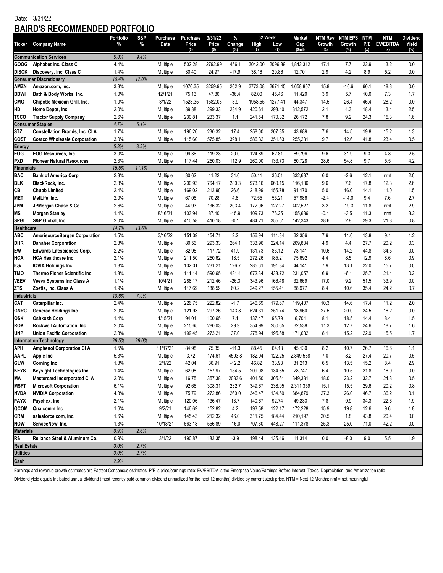# **BAIRD'S RECOMMENDED PORTFOLIO**

|                    |                                     | Portfolio | S&P   | Purchase | <b>Purchase</b> | 3/31/22      | %             |             | 52 Week        | Market         | NTM Rev       | <b>NTM EPS</b> | NTM        | <b>NTM</b>              | <b>Dividend</b> |
|--------------------|-------------------------------------|-----------|-------|----------|-----------------|--------------|---------------|-------------|----------------|----------------|---------------|----------------|------------|-------------------------|-----------------|
| Ticker             | <b>Company Name</b>                 | %         | %     | Date     | Price<br>(S)    | Price<br>(S) | Change<br>(%) | High<br>(S) | Low<br>$($ \$) | Cap<br>(\$mil) | Growth<br>(%) | Growth<br>(%)  | P/E<br>(x) | <b>EV/EBITDA</b><br>(x) | Yield<br>(%)    |
|                    | <b>Communication Services</b>       | 5.8%      | 9.4%  |          |                 |              |               |             |                |                |               |                |            |                         |                 |
| GOOG               | Alphabet Inc. Class C               | 4.4%      |       | Multiple | 502.28          | 2792.99      | 456.1         | 3042.00     | 2096.89        | 1,842,312      | 17.1          | 7.7            | 22.9       | 13.2                    | 0.0             |
| <b>DISCK</b>       | Discovery, Inc. Class C             | 1.4%      |       | Multiple | 30.40           | 24.97        | $-17.9$       | 38.16       | 20.86          | 12,701         | 2.9           | 4.2            | 8.9        | 5.2                     | 0.0             |
|                    | <b>Consumer Discretionary</b>       | 10.4%     | 12.0% |          |                 |              |               |             |                |                |               |                |            |                         |                 |
| <b>AMZN</b>        | Amazon.com, Inc.                    | 3.8%      |       | Multiple | 1076.35         | 3259.95      | 202.9         | 3773.08     | 2671.45        | 1,658,807      | 15.8          | $-10.6$        | 60.1       | 18.8                    | 0.0             |
| <b>BBWI</b>        | Bath & Body Works, Inc.             | 1.0%      |       | 12/1/21  | 75.13           | 47.80        | $-36.4$       | 82.00       | 45.46          | 11,420         | 3.9           | 5.7            | 10.0       | 7.3                     | 1.7             |
| <b>CMG</b>         | Chipotle Mexican Grill, Inc.        | 1.0%      |       | 3/1/22   | 1523.35         | 1582.03      | 3.9           | 1958.55     | 1277.41        | 44,347         | 14.5          | 26.4           | 46.4       | 28.2                    | 0.0             |
| HD                 | Home Depot, Inc.                    | 2.0%      |       | Multiple | 89.38           | 299.33       | 234.9         | 420.61      | 298.40         | 312.572        | 2.1           | 4.3            | 18.4       | 13.4                    | 2.5             |
| <b>TSCO</b>        | <b>Tractor Supply Company</b>       | 2.6%      |       | Multiple | 230.81          | 233.37       | 1.1           | 241.54      | 170.82         | 26,172         | 7.8           | 9.2            | 24.3       | 15.3                    | 1.6             |
|                    | <b>Consumer Staples</b>             | 4.7%      | 6.1%  |          |                 |              |               |             |                |                |               |                |            |                         |                 |
| <b>STZ</b>         | Constellation Brands, Inc. CI A     | 1.7%      |       | Multiple | 196.26          | 230.32       | 17.4          | 258.00      | 207.35         | 43,689         | 7.6           | 14.5           | 19.8       | 15.2                    | 1.3             |
| <b>COST</b>        | <b>Costco Wholesale Corporation</b> | 3.0%      |       | Multiple | 115.60          | 575.85       | 398.1         | 586.32      | 351.63         | 255,231        | 9.7           | 12.6           | 41.8       | 23.4                    | 0.5             |
| <b>Energy</b>      |                                     | 5.3%      | 3.9%  |          |                 |              |               |             |                |                |               |                |            |                         |                 |
| <b>EOG</b>         | EOG Resources, Inc.                 | 3.0%      |       | Multiple | 99.36           | 119.23       | 20.0          | 124.89      | 62.81          | 69,796         | 9.6           | 31.9           | 9.3        | 4.8                     | 2.5             |
| <b>PXD</b>         | <b>Pioneer Natural Resources</b>    | 2.3%      |       | Multiple | 117.44          | 250.03       | 112.9         | 260.00      | 133.73         | 60,728         | 28.6          | 54.8           | 9.7        | $5.5\,$                 | 4.2             |
| <b>Financials</b>  |                                     | 15.5%     | 11.1% |          |                 |              |               |             |                |                |               |                |            |                         |                 |
| <b>BAC</b>         | <b>Bank of America Corp</b>         | 2.8%      |       | Multiple | 30.62           | 41.22        | 34.6          | 50.11       | 36.51          | 332,637        | 6.0           | $-2.6$         | 12.1       | nmf                     | $2.0\,$         |
| <b>BLK</b>         | BlackRock, Inc.                     | 2.3%      |       | Multiple | 200.93          | 764.17       | 280.3         | 973.16      | 660.15         | 116,186        | 9.6           | 7.6            | 17.8       | 12.3                    | 2.6             |
| СB                 | <b>Chubb Limited</b>                | 2.4%      |       | Multiple | 169.02          | 213.90       | 26.6          | 218.99      | 155.78         | 91,170         | 5.0           | 16.0           | 14.1       | 11.0                    | 1.5             |
| <b>MET</b>         | MetLife, Inc.                       | 2.0%      |       | Multiple | 67.06           | 70.28        | 4.8           | 72.55       | 55.21          | 57,986         | -2.4          | $-14.0$        | 9.4        | 7.6                     | 2.7             |
| <b>JPM</b>         | JPMorgan Chase & Co.                | 2.6%      |       | Multiple | 44.93           | 136.32       | 203.4         | 172.96      | 127.27         | 402,527        | 3.2           | $-19.3$        | 11.8       | nmf                     | 2.9             |
| <b>MS</b>          | <b>Morgan Stanley</b>               | 1.4%      |       | 8/16/21  | 103.94          | 87.40        | $-15.9$       | 109.73      | 76.25          | 155,686        | $-0.4$        | $-3.5$         | 11.3       | nmf                     | 3.2             |
| <b>SPGI</b>        | S&P Global, Inc.                    | 2.0%      |       | Multiple | 410.58          | 410.18       | $-0.1$        | 484.21      | 355.51         | 142,343        | 38.6          | 2.8            | 29.3       | 21.8                    | 0.8             |
| <b>Healthcare</b>  |                                     | 14.7%     | 13.6% |          |                 |              |               |             |                |                |               |                |            |                         |                 |
| <b>ABC</b>         | AmerisourceBergen Corporation       | 1.5%      |       | 3/16/22  | 151.39          | 154.71       | 2.2           | 156.94      | 111.34         | 32,356         | 7.9           | 11.6           | 13.8       | 9.1                     | 1.2             |
| <b>DHR</b>         | <b>Danaher Corporation</b>          | 2.3%      |       | Multiple | 80.56           | 293.33       | 264.1         | 333.96      | 224.14         | 209,834        | 4.9           | 4.4            | 27.7       | 20.2                    | 0.3             |
| EW                 | <b>Edwards Lifesciences Corp.</b>   | 2.2%      |       | Multiple | 82.95           | 117.72       | 41.9          | 131.73      | 83.12          | 73,141         | 10.6          | 14.2           | 44.8       | 34.5                    | 0.0             |
| <b>HCA</b>         | <b>HCA Healthcare Inc</b>           | 2.1%      |       | Multiple | 211.50          | 250.62       | 18.5          | 272.26      | 185.21         | 75,692         | 4.4           | 8.5            | 12.9       | 8.6                     | 0.9             |
| IQV                | <b>IQVIA Holdings Inc</b>           | 1.8%      |       | Multiple | 102.01          | 231.21       | 126.7         | 285.61      | 191.84         | 44,141         | 7.9           | 13.1           | 22.0       | 15.7                    | 0.0             |
| <b>TMO</b>         | Thermo Fisher Scientific Inc.       | 1.8%      |       | Multiple | 111.14          | 590.65       | 431.4         | 672.34      | 438.72         | 231,057        | 6.9           | $-6.1$         | 25.7       | 21.4                    | 0.2             |
| <b>VEEV</b>        | Veeva Systems Inc Class A           | 1.1%      |       | 10/4/21  | 288.17          | 212.46       | $-26.3$       | 343.96      | 166.48         | 32,669         | 17.0          | 9.2            | 51.5       | 33.9                    | 0.0             |
| <b>ZTS</b>         | Zoetis, Inc. Class A                | 1.9%      |       | Multiple | 117.69          | 188.59       | 60.2          | 249.27      | 155.41         | 88,977         | 8.4           | 10.6           | 35.4       | 24.2                    | 0.7             |
| Industrials        |                                     | 10.6%     | 7.9%  |          |                 |              |               |             |                |                |               |                |            |                         |                 |
| CAT                | Caterpillar Inc.                    | 2.4%      |       | Multiple | 226.75          | 222.82       | $-1.7$        | 246.69      | 179.67         | 119,407        | 10.3          | 14.6           | 17.4       | 11.2                    | 2.0             |
| <b>GNRC</b>        | Generac Holdings Inc.               | 2.0%      |       | Multiple | 121.93          | 297.26       | 143.8         | 524.31      | 251.74         | 18,960         | 27.5          | 20.0           | 24.5       | 16.2                    | 0.0             |
| <b>OSK</b>         | <b>Oshkosh Corp</b>                 | 1.4%      |       | 1/15/21  | 94.01           | 100.65       | 7.1           | 137.47      | 95.79          | 6,704          | 8.1           | 18.5           | 14.4       | 8.4                     | 1.5             |
| <b>ROK</b>         | Rockwell Automation, Inc.           | 2.0%      |       | Multiple | 215.65          | 280.03       | 29.9          | 354.99      | 250.65         | 32,538         | 11.3          | 12.7           | 24.6       | 18.7                    | 1.6             |
| <b>UNP</b>         | <b>Union Pacific Corporation</b>    | 2.8%      |       | Multiple | 199.45          | 273.21       | 37.0          | 278.94      | 195.68         | 171,682        | 8.1           | 15.2           | 22.9       | 15.5                    | 1.7             |
|                    | <b>Information Technology</b>       | 28.5%     | 28.0% |          |                 |              |               |             |                |                |               |                |            |                         |                 |
| <b>APH</b>         | <b>Amphenol Corporation CI A</b>    | 1.5%      |       | 11/17/21 | 84.98           | 75.35        | $-11.3$       | 88.45       | 64.13          | 45,130         | 8.2           | 10.7           | 26.7       | 16.6                    | 1.1             |
| <b>AAPL</b>        | Apple Inc.                          | 5.3%      |       | Multiple | 3.72            | 174.61       | 4593.8        | 182.94      | 122.25         | 2,849,538      | 7.0           | 8.2            | 27.4       | 20.7                    | 0.5             |
| <b>GLW</b>         | <b>Corning Inc</b>                  | 1.3%      |       | 2/1/22   | 42.04           | 36.91        | $-12.2$       | 46.82       | 33.93          | 31,213         | 6.5           | 13.5           | 15.2       | 8.4                     | 2.9             |
| <b>KEYS</b>        | <b>Keysight Technologies Inc</b>    | 1.4%      |       | Multiple | 62.08           | 157.97       | 154.5         | 209.08      | 134.65         | 28,747         | 6.4           | 10.5           | 21.8       | 16.9                    | 0.0             |
| MA                 | Mastercard Incorporated CI A        | 2.0%      |       | Multiple | 16.75           | 357.38       | 2033.6        | 401.50      | 305.61         | 349,331        | 18.0          | 23.2           | 32.7       | 24.8                    | 0.5             |
| <b>MSFT</b>        | <b>Microsoft Corporation</b>        | 6.1%      |       | Multiple | 92.66           | 308.31       | 232.7         | 349.67      | 238.05         | 2,311,359      | 15.1          | 15.5           | 29.6       | 20.2                    | 0.8             |
| <b>NVDA</b>        | <b>NVIDIA Corporation</b>           | 4.3%      |       | Multiple | 75.79           | 272.86       | 260.0         | 346.47      | 134.59         | 684,879        | 27.3          | 26.0           | 46.7       | 36.2                    | 0.1             |
| <b>PAYX</b>        | Paychex, Inc.                       | 2.1%      |       | Multiple | 120.06          | 136.47       | 13.7          | 140.67      | 92.74          | 49,233         | 7.8           | 9.9            | 34.3       | 22.6                    | 1.9             |
| QCOM               | Qualcomm Inc.                       | 1.6%      |       | 9/2/21   | 146.69          | 152.82       | 4.2           | 193.58      | 122.17         | 172,228        | 15.9          | 19.8           | 12.6       | 9.6                     | 1.8             |
| CRM                | salesforce.com, inc.                | 1.6%      |       | Multiple | 145.43          | 212.32       | 46.0          | 311.75      | 184.44         | 210,197        | 20.5          | 1.8            | 43.8       | 20.4                    | 0.0             |
| <b>NOW</b>         | ServiceNow, Inc.                    | 1.3%      |       | 10/18/21 | 663.18          | 556.89       | $-16.0$       | 707.60      | 448.27         | 111,378        | 25.3          | 25.0           | 71.0       | 42.2                    | 0.0             |
| <b>Materials</b>   |                                     | 0.9%      | 2.6%  |          |                 |              |               |             |                |                |               |                |            |                         |                 |
| <b>RS</b>          | Reliance Steel & Aluminum Co.       | 0.9%      |       | 3/1/22   | 190.87          | 183.35       | $-3.9$        | 198.44      | 135.46         | 11,314         | 0.0           | $-8.0$         | 9.0        | $5.5\,$                 | 1.9             |
| <b>Real Estate</b> |                                     | 0.0%      | 2.7%  |          |                 |              |               |             |                |                |               |                |            |                         |                 |
| <b>Utilities</b>   |                                     | 0.0%      | 2.7%  |          |                 |              |               |             |                |                |               |                |            |                         |                 |
| Cash               |                                     | 2.9%      |       |          |                 |              |               |             |                |                |               |                |            |                         |                 |
|                    |                                     |           |       |          |                 |              |               |             |                |                |               |                |            |                         |                 |

Earnings and revenue growth estimates are Factset Consensus estimates. P/E is price/earnings ratio; EV/EBITDA is the Enterprise Value/Earnings Before Interest, Taxes, Depreciation, and Amortization ratio

Dividend yield equals indicated annual dividend (most recently paid common dividend annualized for the next 12 months) divided by current stock price. NTM = Next 12 Months; nmf = not meaningful